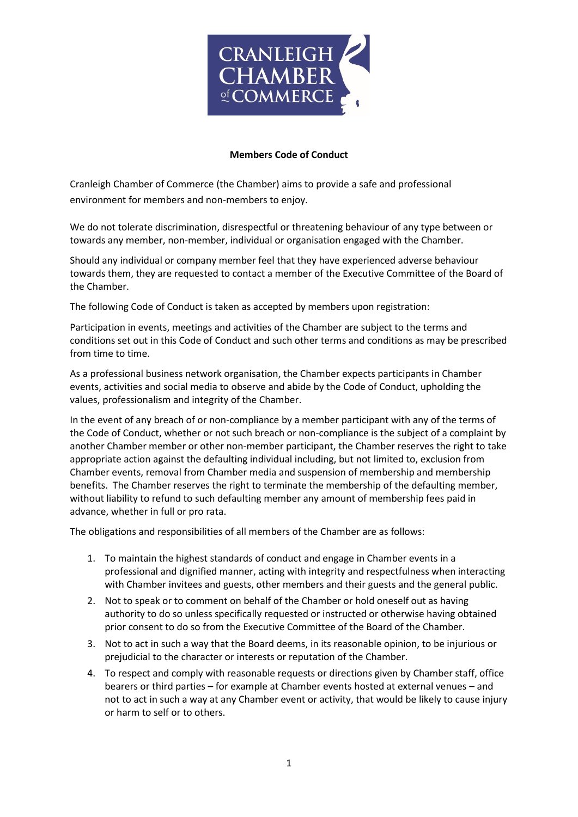

## **Members Code of Conduct**

Cranleigh Chamber of Commerce (the Chamber) aims to provide a safe and professional environment for members and non-members to enjoy.

We do not tolerate discrimination, disrespectful or threatening behaviour of any type between or towards any member, non-member, individual or organisation engaged with the Chamber.

Should any individual or company member feel that they have experienced adverse behaviour towards them, they are requested to contact a member of the Executive Committee of the Board of the Chamber.

The following Code of Conduct is taken as accepted by members upon registration:

Participation in events, meetings and activities of the Chamber are subject to the terms and conditions set out in this Code of Conduct and such other terms and conditions as may be prescribed from time to time.

As a professional business network organisation, the Chamber expects participants in Chamber events, activities and social media to observe and abide by the Code of Conduct, upholding the values, professionalism and integrity of the Chamber.

In the event of any breach of or non-compliance by a member participant with any of the terms of the Code of Conduct, whether or not such breach or non-compliance is the subject of a complaint by another Chamber member or other non-member participant, the Chamber reserves the right to take appropriate action against the defaulting individual including, but not limited to, exclusion from Chamber events, removal from Chamber media and suspension of membership and membership benefits. The Chamber reserves the right to terminate the membership of the defaulting member, without liability to refund to such defaulting member any amount of membership fees paid in advance, whether in full or pro rata.

The obligations and responsibilities of all members of the Chamber are as follows:

- 1. To maintain the highest standards of conduct and engage in Chamber events in a professional and dignified manner, acting with integrity and respectfulness when interacting with Chamber invitees and guests, other members and their guests and the general public.
- 2. Not to speak or to comment on behalf of the Chamber or hold oneself out as having authority to do so unless specifically requested or instructed or otherwise having obtained prior consent to do so from the Executive Committee of the Board of the Chamber.
- 3. Not to act in such a way that the Board deems, in its reasonable opinion, to be injurious or prejudicial to the character or interests or reputation of the Chamber.
- 4. To respect and comply with reasonable requests or directions given by Chamber staff, office bearers or third parties – for example at Chamber events hosted at external venues – and not to act in such a way at any Chamber event or activity, that would be likely to cause injury or harm to self or to others.